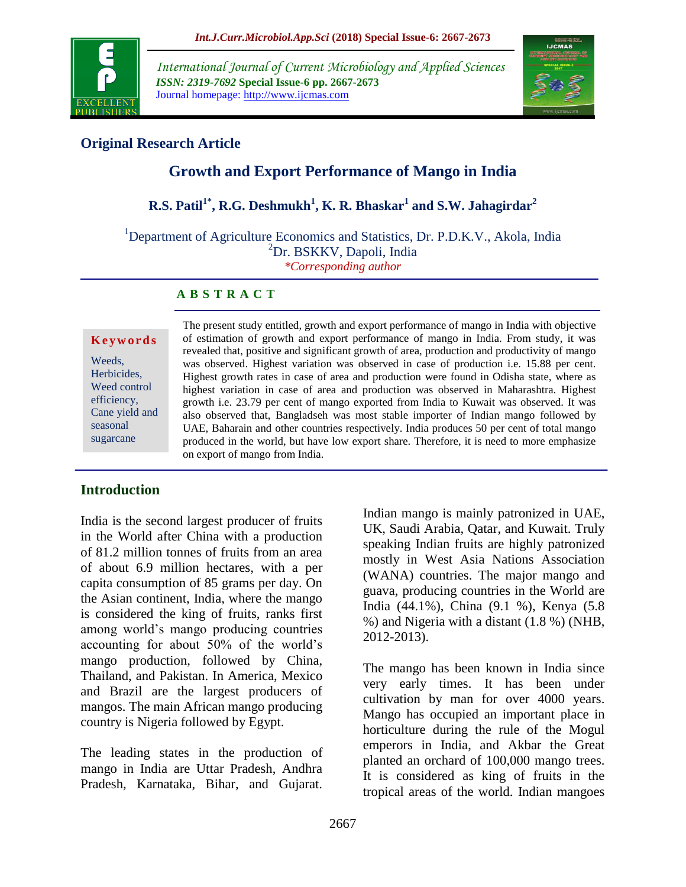

*International Journal of Current Microbiology and Applied Sciences ISSN: 2319-7692* **Special Issue-6 pp. 2667-2673** Journal homepage: http://www.ijcmas.com



# **Original Research Article**

# **Growth and Export Performance of Mango in India**

# **R.S. Patil1\* , R.G. Deshmukh<sup>1</sup> , K. R. Bhaskar<sup>1</sup> and S.W. Jahagirdar<sup>2</sup>**

<sup>1</sup>Department of Agriculture Economics and Statistics, Dr. P.D.K.V., Akola, India <sup>2</sup>Dr. BSKKV, Dapoli, India *\*Corresponding author*

#### **A B S T R A C T**

#### **K e y w o r d s**

Weeds, Herbicides, Weed control efficiency, Cane yield and seasonal sugarcane

The present study entitled, growth and export performance of mango in India with objective of estimation of growth and export performance of mango in India. From study, it was revealed that, positive and significant growth of area, production and productivity of mango was observed. Highest variation was observed in case of production i.e. 15.88 per cent. Highest growth rates in case of area and production were found in Odisha state, where as highest variation in case of area and production was observed in Maharashtra. Highest growth i.e. 23.79 per cent of mango exported from India to Kuwait was observed. It was also observed that, Bangladseh was most stable importer of Indian mango followed by UAE, Baharain and other countries respectively. India produces 50 per cent of total mango produced in the world, but have low export share. Therefore, it is need to more emphasize on export of mango from India.

### **Introduction**

India is the second largest producer of fruits in the World after China with a production of 81.2 million tonnes of fruits from an area of about 6.9 million hectares, with a per capita consumption of 85 grams per day. On the Asian continent, India, where the mango is considered the king of fruits, ranks first among world's mango producing countries accounting for about 50% of the world's mango production, followed by China, Thailand, and Pakistan. In America, Mexico and Brazil are the largest producers of mangos. The main African mango producing country is Nigeria followed by Egypt.

The leading states in the production of mango in India are Uttar Pradesh, Andhra Pradesh, Karnataka, Bihar, and Gujarat.

Indian mango is mainly patronized in UAE, UK, Saudi Arabia, Qatar, and Kuwait. Truly speaking Indian fruits are highly patronized mostly in West Asia Nations Association (WANA) countries. The major mango and guava, producing countries in the World are India (44.1%), China (9.1 %), Kenya (5.8 %) and Nigeria with a distant (1.8 %) (NHB, 2012-2013).

The mango has been known in India since very early times. It has been under cultivation by man for over 4000 years. Mango has occupied an important place in horticulture during the rule of the Mogul emperors in India, and Akbar the Great planted an orchard of 100,000 mango trees. It is considered as king of fruits in the tropical areas of the world. Indian mangoes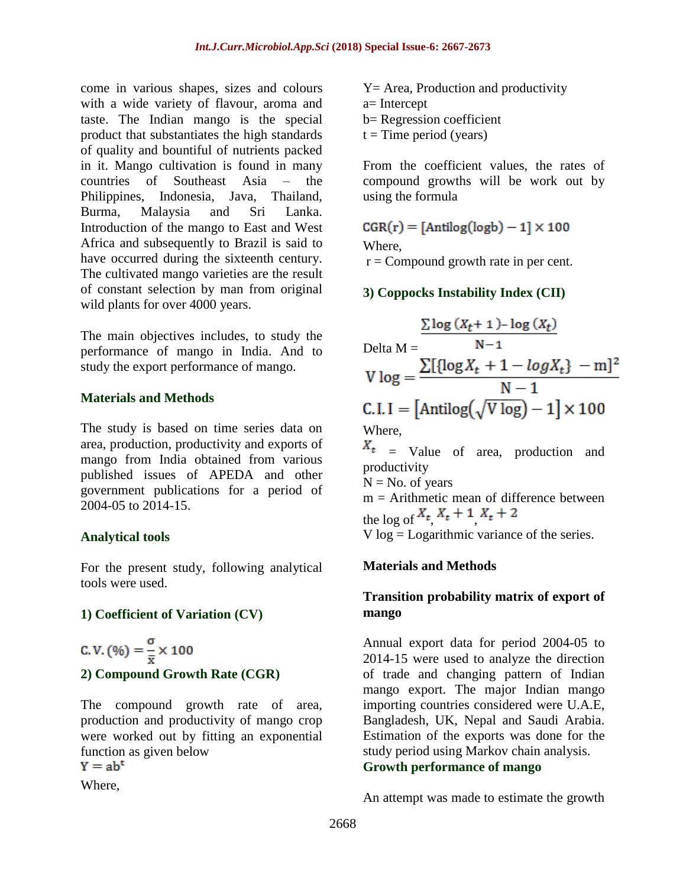come in various shapes, sizes and colours with a wide variety of flavour, aroma and taste. The Indian mango is the special product that substantiates the high standards of quality and bountiful of nutrients packed in it. Mango cultivation is found in many countries of Southeast Asia – the Philippines, Indonesia, Java, Thailand, Burma, Malaysia and Sri Lanka. Introduction of the mango to East and West Africa and subsequently to Brazil is said to have occurred during the sixteenth century. The cultivated mango varieties are the result of constant selection by man from original wild plants for over 4000 years.

The main objectives includes, to study the performance of mango in India. And to study the export performance of mango.

### **Materials and Methods**

The study is based on time series data on area, production, productivity and exports of mango from India obtained from various published issues of APEDA and other government publications for a period of 2004-05 to 2014-15.

### **Analytical tools**

For the present study, following analytical tools were used.

### **1) Coefficient of Variation (CV)**

C. V.  $(96) = \frac{\sigma}{\bar{x}} \times 100$ **2) Compound Growth Rate (CGR)**

The compound growth rate of area, production and productivity of mango crop were worked out by fitting an exponential function as given below

 $Y = ab^t$ 

Where,

Y= Area, Production and productivity a= Intercept b= Regression coefficient  $t =$ Time period (years)

From the coefficient values, the rates of compound growths will be work out by using the formula

 $CGR(r) = [Antilog(logb) - 1] \times 100$ Where,  $r =$  Compound growth rate in per cent.

## **3) Coppocks Instability Index (CII)**

$$
\frac{\sum \log (X_t + 1) - \log (X_t)}{N-1}
$$
  
Delta M = 
$$
\frac{\sum [{\log X_t + 1 - \log X_t} - m]^2}{N-1}
$$
  
C.I.I = [Antilog( $\sqrt{V \log}$ ) - 1] × 100  
Where,

 $X_t$  = Value of area, production and productivity

 $N = No$ . of years

 $m =$  Arithmetic mean of difference between the log of  $X_t$ ,  $X_t + 1$ ,  $X_t + 2$ 

V log = Logarithmic variance of the series.

### **Materials and Methods**

### **Transition probability matrix of export of mango**

Annual export data for period 2004-05 to 2014-15 were used to analyze the direction of trade and changing pattern of Indian mango export. The major Indian mango importing countries considered were U.A.E, Bangladesh, UK, Nepal and Saudi Arabia. Estimation of the exports was done for the study period using Markov chain analysis. **Growth performance of mango**

An attempt was made to estimate the growth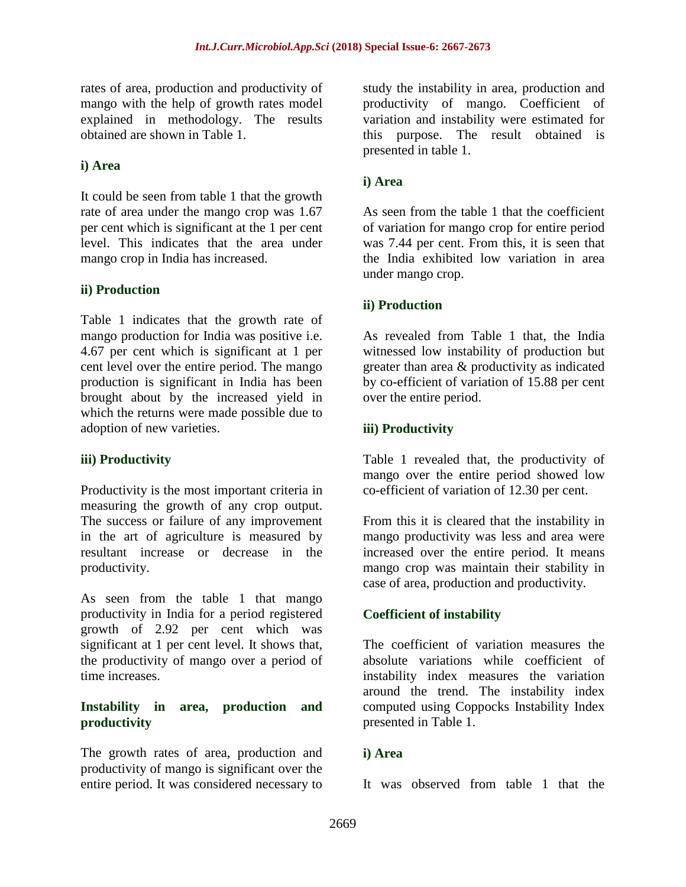rates of area, production and productivity of mango with the help of growth rates model explained in methodology. The results obtained are shown in Table 1.

## **i) Area**

It could be seen from table 1 that the growth rate of area under the mango crop was 1.67 per cent which is significant at the 1 per cent level. This indicates that the area under mango crop in India has increased.

### **ii) Production**

Table 1 indicates that the growth rate of mango production for India was positive i.e. 4.67 per cent which is significant at 1 per cent level over the entire period. The mango production is significant in India has been brought about by the increased yield in which the returns were made possible due to adoption of new varieties.

### **iii) Productivity**

Productivity is the most important criteria in measuring the growth of any crop output. The success or failure of any improvement in the art of agriculture is measured by resultant increase or decrease in the productivity.

As seen from the table 1 that mango productivity in India for a period registered growth of 2.92 per cent which was significant at 1 per cent level. It shows that, the productivity of mango over a period of time increases.

### **Instability in area, production and productivity**

The growth rates of area, production and productivity of mango is significant over the entire period. It was considered necessary to

study the instability in area, production and productivity of mango. Coefficient of variation and instability were estimated for this purpose. The result obtained is presented in table 1.

### **i) Area**

As seen from the table 1 that the coefficient of variation for mango crop for entire period was 7.44 per cent. From this, it is seen that the India exhibited low variation in area under mango crop.

### **ii) Production**

As revealed from Table 1 that, the India witnessed low instability of production but greater than area & productivity as indicated by co-efficient of variation of 15.88 per cent over the entire period.

### **iii) Productivity**

Table 1 revealed that, the productivity of mango over the entire period showed low co-efficient of variation of 12.30 per cent.

From this it is cleared that the instability in mango productivity was less and area were increased over the entire period. It means mango crop was maintain their stability in case of area, production and productivity.

## **Coefficient of instability**

The coefficient of variation measures the absolute variations while coefficient of instability index measures the variation around the trend. The instability index computed using Coppocks Instability Index presented in Table 1.

### **i) Area**

It was observed from table 1 that the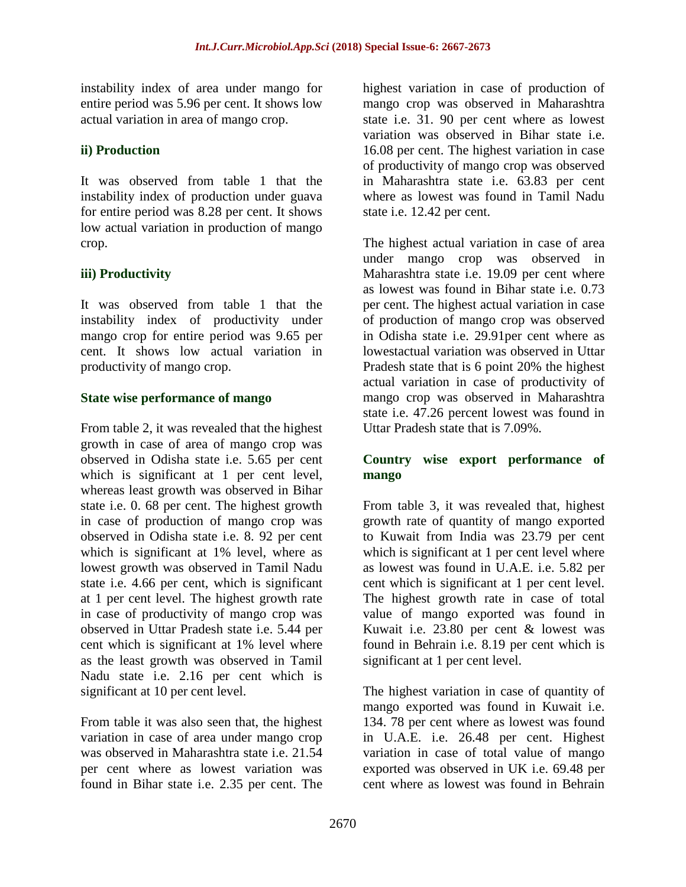instability index of area under mango for entire period was 5.96 per cent. It shows low actual variation in area of mango crop.

### **ii) Production**

It was observed from table 1 that the instability index of production under guava for entire period was 8.28 per cent. It shows low actual variation in production of mango crop.

### **iii) Productivity**

It was observed from table 1 that the instability index of productivity under mango crop for entire period was 9.65 per cent. It shows low actual variation in productivity of mango crop.

### **State wise performance of mango**

From table 2, it was revealed that the highest growth in case of area of mango crop was observed in Odisha state i.e. 5.65 per cent which is significant at 1 per cent level, whereas least growth was observed in Bihar state i.e. 0. 68 per cent. The highest growth in case of production of mango crop was observed in Odisha state i.e. 8. 92 per cent which is significant at 1% level, where as lowest growth was observed in Tamil Nadu state i.e. 4.66 per cent, which is significant at 1 per cent level. The highest growth rate in case of productivity of mango crop was observed in Uttar Pradesh state i.e. 5.44 per cent which is significant at 1% level where as the least growth was observed in Tamil Nadu state i.e. 2.16 per cent which is significant at 10 per cent level.

From table it was also seen that, the highest variation in case of area under mango crop was observed in Maharashtra state i.e. 21.54 per cent where as lowest variation was found in Bihar state i.e. 2.35 per cent. The highest variation in case of production of mango crop was observed in Maharashtra state i.e. 31. 90 per cent where as lowest variation was observed in Bihar state i.e. 16.08 per cent. The highest variation in case of productivity of mango crop was observed in Maharashtra state i.e. 63.83 per cent where as lowest was found in Tamil Nadu state i.e. 12.42 per cent.

The highest actual variation in case of area under mango crop was observed in Maharashtra state i.e. 19.09 per cent where as lowest was found in Bihar state i.e. 0.73 per cent. The highest actual variation in case of production of mango crop was observed in Odisha state i.e. 29.91per cent where as lowestactual variation was observed in Uttar Pradesh state that is 6 point 20% the highest actual variation in case of productivity of mango crop was observed in Maharashtra state i.e. 47.26 percent lowest was found in Uttar Pradesh state that is 7.09%.

### **Country wise export performance of mango**

From table 3, it was revealed that, highest growth rate of quantity of mango exported to Kuwait from India was 23.79 per cent which is significant at 1 per cent level where as lowest was found in U.A.E. i.e. 5.82 per cent which is significant at 1 per cent level. The highest growth rate in case of total value of mango exported was found in Kuwait i.e. 23.80 per cent & lowest was found in Behrain i.e. 8.19 per cent which is significant at 1 per cent level.

The highest variation in case of quantity of mango exported was found in Kuwait i.e. 134. 78 per cent where as lowest was found in U.A.E. i.e. 26.48 per cent. Highest variation in case of total value of mango exported was observed in UK i.e. 69.48 per cent where as lowest was found in Behrain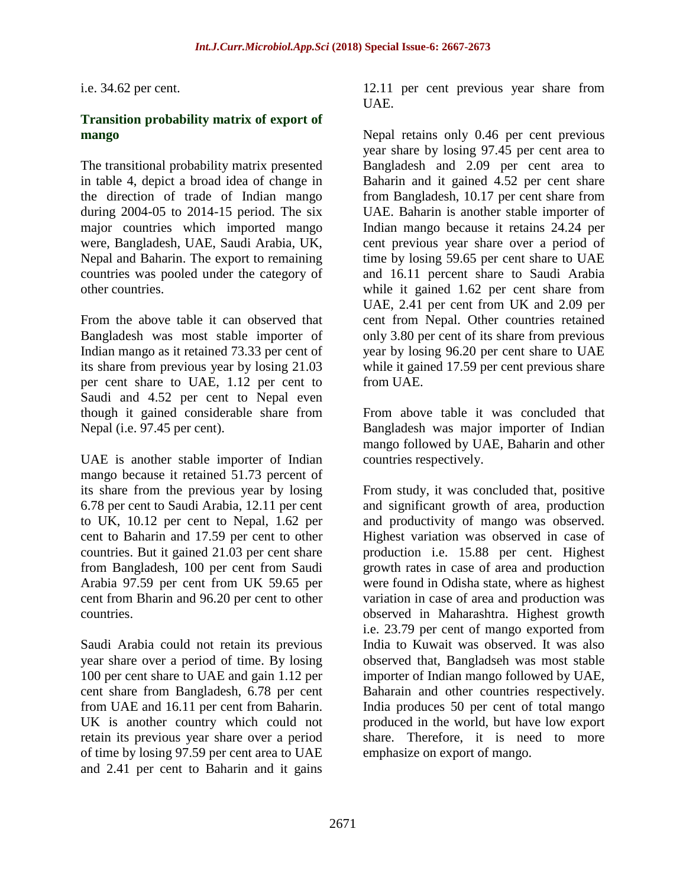i.e. 34.62 per cent.

#### **Transition probability matrix of export of mango**

The transitional probability matrix presented in table 4, depict a broad idea of change in the direction of trade of Indian mango during 2004-05 to 2014-15 period. The six major countries which imported mango were, Bangladesh, UAE, Saudi Arabia, UK, Nepal and Baharin. The export to remaining countries was pooled under the category of other countries.

From the above table it can observed that Bangladesh was most stable importer of Indian mango as it retained 73.33 per cent of its share from previous year by losing 21.03 per cent share to UAE, 1.12 per cent to Saudi and 4.52 per cent to Nepal even though it gained considerable share from Nepal (i.e. 97.45 per cent).

UAE is another stable importer of Indian mango because it retained 51.73 percent of its share from the previous year by losing 6.78 per cent to Saudi Arabia, 12.11 per cent to UK, 10.12 per cent to Nepal, 1.62 per cent to Baharin and 17.59 per cent to other countries. But it gained 21.03 per cent share from Bangladesh, 100 per cent from Saudi Arabia 97.59 per cent from UK 59.65 per cent from Bharin and 96.20 per cent to other countries.

Saudi Arabia could not retain its previous year share over a period of time. By losing 100 per cent share to UAE and gain 1.12 per cent share from Bangladesh, 6.78 per cent from UAE and 16.11 per cent from Baharin. UK is another country which could not retain its previous year share over a period of time by losing 97.59 per cent area to UAE and 2.41 per cent to Baharin and it gains

12.11 per cent previous year share from UAE.

Nepal retains only 0.46 per cent previous year share by losing 97.45 per cent area to Bangladesh and 2.09 per cent area to Baharin and it gained 4.52 per cent share from Bangladesh, 10.17 per cent share from UAE. Baharin is another stable importer of Indian mango because it retains 24.24 per cent previous year share over a period of time by losing 59.65 per cent share to UAE and 16.11 percent share to Saudi Arabia while it gained 1.62 per cent share from UAE, 2.41 per cent from UK and 2.09 per cent from Nepal. Other countries retained only 3.80 per cent of its share from previous year by losing 96.20 per cent share to UAE while it gained 17.59 per cent previous share from UAE.

From above table it was concluded that Bangladesh was major importer of Indian mango followed by UAE, Baharin and other countries respectively.

From study, it was concluded that, positive and significant growth of area, production and productivity of mango was observed. Highest variation was observed in case of production i.e. 15.88 per cent. Highest growth rates in case of area and production were found in Odisha state, where as highest variation in case of area and production was observed in Maharashtra. Highest growth i.e. 23.79 per cent of mango exported from India to Kuwait was observed. It was also observed that, Bangladseh was most stable importer of Indian mango followed by UAE, Baharain and other countries respectively. India produces 50 per cent of total mango produced in the world, but have low export share. Therefore, it is need to more emphasize on export of mango.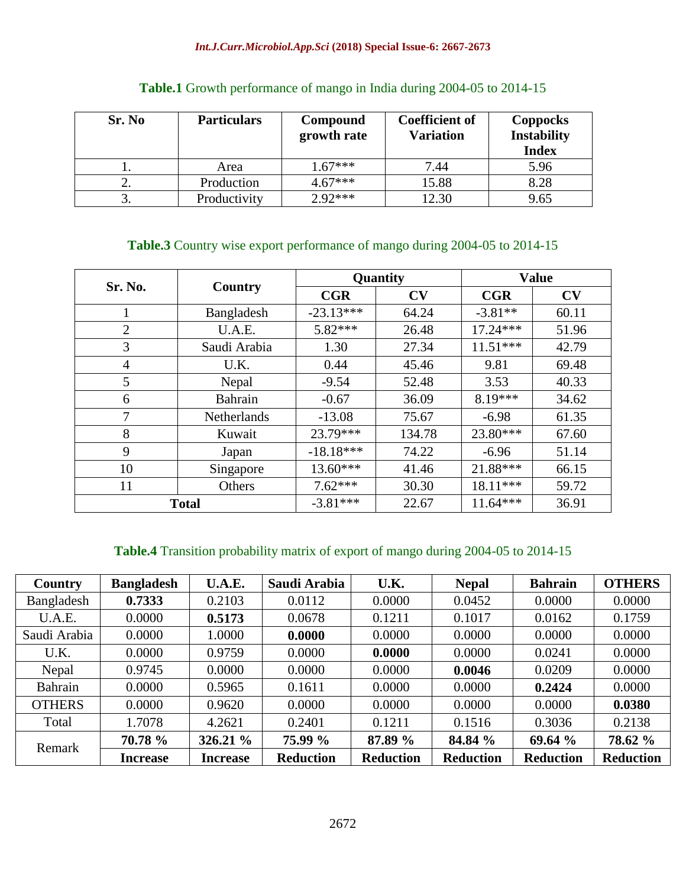#### *Int.J.Curr.Microbiol.App.Sci* **(2018) Special Issue-6: 2667-2673**

| Sr. No | <b>Particulars</b> | Compound<br>growth rate | <b>Coefficient of</b><br><b>Variation</b> | <b>Coppocks</b><br><b>Instability</b><br><b>Index</b> |
|--------|--------------------|-------------------------|-------------------------------------------|-------------------------------------------------------|
|        | Area               | $1.67***$               | 7.44                                      | 5.96                                                  |
|        | Production         | $4.67***$               | 15.88                                     | 8.28                                                  |
| ັ      | Productivity       | $2.92***$               | 12.30                                     | 9.65                                                  |

### **Table.1** Growth performance of mango in India during 2004-05 to 2014-15

## **Table.3** Country wise export performance of mango during 2004-05 to 2014-15

| Sr. No.        | Country      |             | Quantity | <b>Value</b> |       |
|----------------|--------------|-------------|----------|--------------|-------|
|                |              | CGR         | CV       | CGR          | CV    |
|                | Bangladesh   | $-23.13***$ | 64.24    | $-3.81**$    | 60.11 |
| $\overline{2}$ | U.A.E.       | $5.82***$   | 26.48    | $17.24***$   | 51.96 |
| 3              | Saudi Arabia | 1.30        | 27.34    | $11.51***$   | 42.79 |
| $\overline{4}$ | U.K.         | 0.44        | 45.46    | 9.81         | 69.48 |
| 5              | Nepal        | $-9.54$     | 52.48    | 3.53         | 40.33 |
| 6              | Bahrain      | $-0.67$     | 36.09    | $8.19***$    | 34.62 |
| 7              | Netherlands  | $-13.08$    | 75.67    | $-6.98$      | 61.35 |
| 8              | Kuwait       | 23.79***    | 134.78   | 23.80***     | 67.60 |
| 9              | Japan        | $-18.18***$ | 74.22    | $-6.96$      | 51.14 |
| 10             | Singapore    | 13.60***    | 41.46    | 21.88***     | 66.15 |
| 11             | Others       | $7.62***$   | 30.30    | 18.11***     | 59.72 |
| <b>Total</b>   |              | $-3.81***$  | 22.67    | $11.64***$   | 36.91 |

# **Table.4** Transition probability matrix of export of mango during 2004-05 to 2014-15

| Country       | <b>Bangladesh</b> | U.A.E.          | Saudi Arabia     | U.K.             | <b>Nepal</b>     | <b>Bahrain</b>   | <b>OTHERS</b>    |
|---------------|-------------------|-----------------|------------------|------------------|------------------|------------------|------------------|
| Bangladesh    | 0.7333            | 0.2103          | 0.0112           | 0.0000           | 0.0452           | 0.0000           | 0.0000           |
| U.A.E.        | 0.0000            | 0.5173          | 0.0678           | 0.1211           | 0.1017           | 0.0162           | 0.1759           |
| Saudi Arabia  | 0.0000            | 1.0000          | 0.0000           | 0.0000           | 0.0000           | 0.0000           | 0.0000           |
| U.K.          | 0.0000            | 0.9759          | 0.0000           | 0.0000           | 0.0000           | 0.0241           | 0.0000           |
| Nepal         | 0.9745            | 0.0000          | 0.0000           | 0.0000           | 0.0046           | 0.0209           | 0.0000           |
| Bahrain       | 0.0000            | 0.5965          | 0.1611           | 0.0000           | 0.0000           | 0.2424           | 0.0000           |
| <b>OTHERS</b> | 0.0000            | 0.9620          | 0.0000           | 0.0000           | 0.0000           | 0.0000           | 0.0380           |
| Total         | 1.7078            | 4.2621          | 0.2401           | 0.1211           | 0.1516           | 0.3036           | 0.2138           |
| Remark        | 70.78 %           | 326.21 %        | 75.99 %          | 87.89 %          | 84.84 %          | 69.64 %          | 78.62 %          |
|               | <b>Increase</b>   | <b>Increase</b> | <b>Reduction</b> | <b>Reduction</b> | <b>Reduction</b> | <b>Reduction</b> | <b>Reduction</b> |